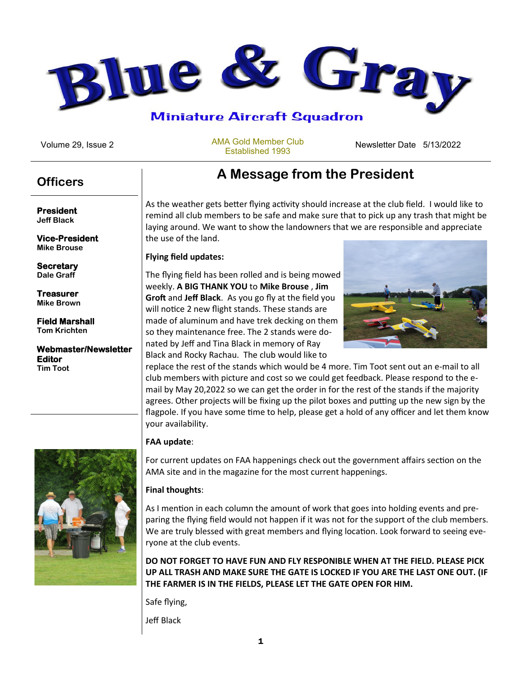

AMA Gold Member Club Established 1993

Volume 29, Issue 2 **Newsletter Date 2 Newsletter Date 5/13/2022** 

**President Jeff Black**

**Vice-President Mike Brouse**

**Secretary Dale Graff**

**Treasurer Mike Brown**

**Field Marshall Tom Krichten** 

**Webmaster/Newsletter Editor Tim Toot**



# **A Message from the President Officers**

As the weather gets better flying activity should increase at the club field. I would like to remind all club members to be safe and make sure that to pick up any trash that might be laying around. We want to show the landowners that we are responsible and appreciate the use of the land.

#### **Flying field updates:**

The flying field has been rolled and is being mowed weekly. **A BIG THANK YOU** to **Mike Brouse** , **Jim Groft** and **Jeff Black**. As you go fly at the field you will notice 2 new flight stands. These stands are made of aluminum and have trek decking on them so they maintenance free. The 2 stands were donated by Jeff and Tina Black in memory of Ray Black and Rocky Rachau. The club would like to



replace the rest of the stands which would be 4 more. Tim Toot sent out an e-mail to all club members with picture and cost so we could get feedback. Please respond to the email by May 20,2022 so we can get the order in for the rest of the stands if the majority agrees. Other projects will be fixing up the pilot boxes and putting up the new sign by the flagpole. If you have some time to help, please get a hold of any officer and let them know your availability.

#### **FAA update**:

For current updates on FAA happenings check out the government affairs section on the AMA site and in the magazine for the most current happenings.

### **Final thoughts**:

As I mention in each column the amount of work that goes into holding events and preparing the flying field would not happen if it was not for the support of the club members. We are truly blessed with great members and flying location. Look forward to seeing everyone at the club events.

**DO NOT FORGET TO HAVE FUN AND FLY RESPONIBLE WHEN AT THE FIELD. PLEASE PICK UP ALL TRASH AND MAKE SURE THE GATE IS LOCKED IF YOU ARE THE LAST ONE OUT. (IF THE FARMER IS IN THE FIELDS, PLEASE LET THE GATE OPEN FOR HIM.**

Safe flying,

Jeff Black